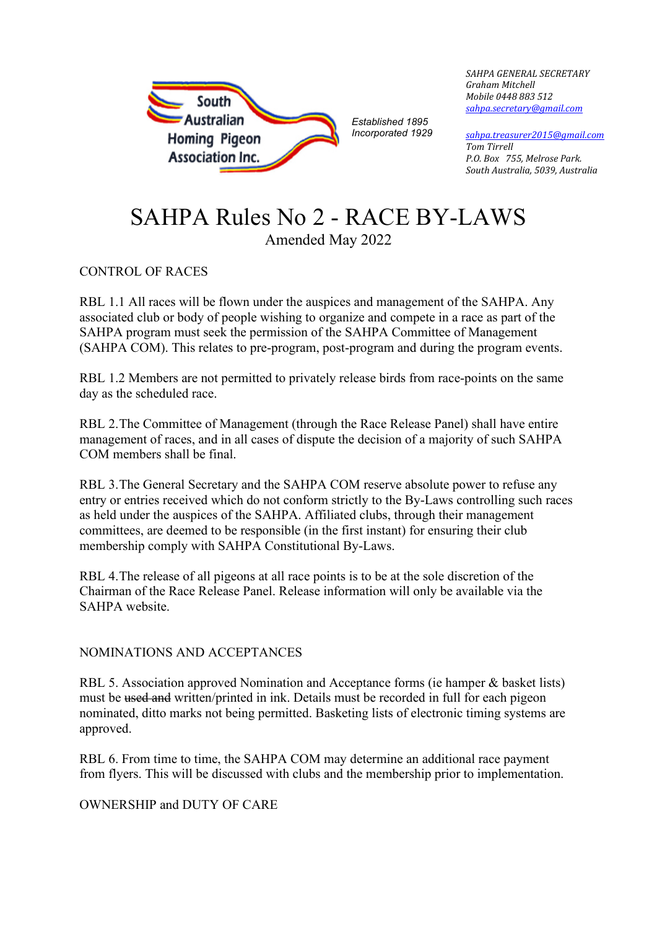

*SAHPA GENERAL SECRETARY Graham Mitchell Mobile 0448 883 512 [sahpa.secretary@gmail.com](mailto:sahpa.secretary@gmail.com)* 

*[sahpa.treasurer2015@gmail.com](mailto:sahpa.treasurer2015@gmail.com) Tom Tirrell P.O. Box 755, Melrose Park. South Australia, 5039, Australia*

# SAHPA Rules No 2 - RACE BY-LAWS Amended May 2022

CONTROL OF RACES

RBL 1.1 All races will be flown under the auspices and management of the SAHPA. Any associated club or body of people wishing to organize and compete in a race as part of the SAHPA program must seek the permission of the SAHPA Committee of Management (SAHPA COM). This relates to pre-program, post-program and during the program events.

RBL 1.2 Members are not permitted to privately release birds from race-points on the same day as the scheduled race.

RBL 2.The Committee of Management (through the Race Release Panel) shall have entire management of races, and in all cases of dispute the decision of a majority of such SAHPA COM members shall be final.

RBL 3.The General Secretary and the SAHPA COM reserve absolute power to refuse any entry or entries received which do not conform strictly to the By-Laws controlling such races as held under the auspices of the SAHPA. Affiliated clubs, through their management committees, are deemed to be responsible (in the first instant) for ensuring their club membership comply with SAHPA Constitutional By-Laws.

RBL 4.The release of all pigeons at all race points is to be at the sole discretion of the Chairman of the Race Release Panel. Release information will only be available via the SAHPA website.

# NOMINATIONS AND ACCEPTANCES

RBL 5. Association approved Nomination and Acceptance forms (ie hamper & basket lists) must be used and written/printed in ink. Details must be recorded in full for each pigeon nominated, ditto marks not being permitted. Basketing lists of electronic timing systems are approved.

RBL 6. From time to time, the SAHPA COM may determine an additional race payment from flyers. This will be discussed with clubs and the membership prior to implementation.

# OWNERSHIP and DUTY OF CARE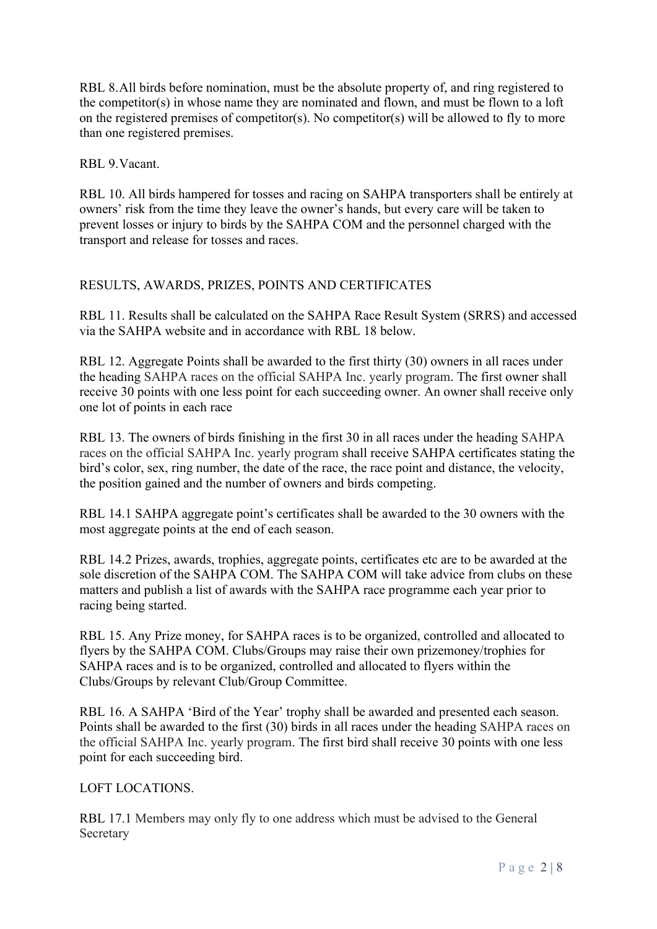RBL 8.All birds before nomination, must be the absolute property of, and ring registered to the competitor(s) in whose name they are nominated and flown, and must be flown to a loft on the registered premises of competitor(s). No competitor(s) will be allowed to fly to more than one registered premises.

RBL 9.Vacant.

RBL 10. All birds hampered for tosses and racing on SAHPA transporters shall be entirely at owners' risk from the time they leave the owner's hands, but every care will be taken to prevent losses or injury to birds by the SAHPA COM and the personnel charged with the transport and release for tosses and races.

# RESULTS, AWARDS, PRIZES, POINTS AND CERTIFICATES

RBL 11. Results shall be calculated on the SAHPA Race Result System (SRRS) and accessed via the SAHPA website and in accordance with RBL 18 below.

RBL 12. Aggregate Points shall be awarded to the first thirty (30) owners in all races under the heading SAHPA races on the official SAHPA Inc. yearly program. The first owner shall receive 30 points with one less point for each succeeding owner. An owner shall receive only one lot of points in each race

RBL 13. The owners of birds finishing in the first 30 in all races under the heading SAHPA races on the official SAHPA Inc. yearly program shall receive SAHPA certificates stating the bird's color, sex, ring number, the date of the race, the race point and distance, the velocity, the position gained and the number of owners and birds competing.

RBL 14.1 SAHPA aggregate point's certificates shall be awarded to the 30 owners with the most aggregate points at the end of each season.

RBL 14.2 Prizes, awards, trophies, aggregate points, certificates etc are to be awarded at the sole discretion of the SAHPA COM. The SAHPA COM will take advice from clubs on these matters and publish a list of awards with the SAHPA race programme each year prior to racing being started.

RBL 15. Any Prize money, for SAHPA races is to be organized, controlled and allocated to flyers by the SAHPA COM. Clubs/Groups may raise their own prizemoney/trophies for SAHPA races and is to be organized, controlled and allocated to flyers within the Clubs/Groups by relevant Club/Group Committee.

RBL 16. A SAHPA 'Bird of the Year' trophy shall be awarded and presented each season. Points shall be awarded to the first (30) birds in all races under the heading SAHPA races on the official SAHPA Inc. yearly program. The first bird shall receive 30 points with one less point for each succeeding bird.

# LOFT LOCATIONS.

RBL 17.1 Members may only fly to one address which must be advised to the General Secretary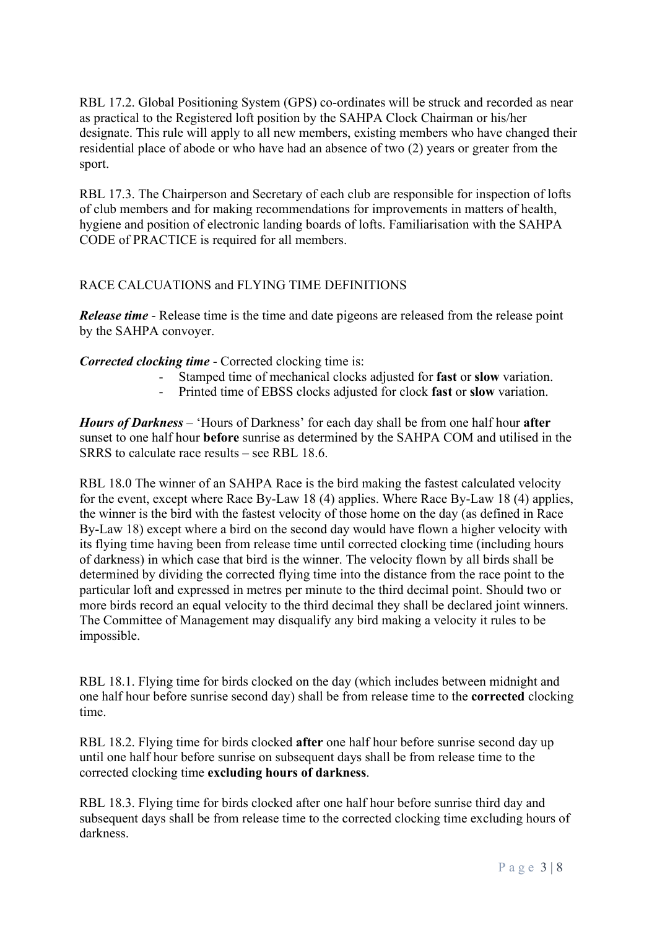RBL 17.2. Global Positioning System (GPS) co-ordinates will be struck and recorded as near as practical to the Registered loft position by the SAHPA Clock Chairman or his/her designate. This rule will apply to all new members, existing members who have changed their residential place of abode or who have had an absence of two (2) years or greater from the sport.

RBL 17.3. The Chairperson and Secretary of each club are responsible for inspection of lofts of club members and for making recommendations for improvements in matters of health, hygiene and position of electronic landing boards of lofts. Familiarisation with the SAHPA CODE of PRACTICE is required for all members.

# RACE CALCUATIONS and FLYING TIME DEFINITIONS

*Release time* - Release time is the time and date pigeons are released from the release point by the SAHPA convoyer.

# *Corrected clocking time* - Corrected clocking time is:

- Stamped time of mechanical clocks adjusted for **fast** or **slow** variation.
- Printed time of EBSS clocks adjusted for clock **fast** or **slow** variation.

*Hours of Darkness* – 'Hours of Darkness' for each day shall be from one half hour **after** sunset to one half hour **before** sunrise as determined by the SAHPA COM and utilised in the SRRS to calculate race results – see RBL 18.6.

RBL 18.0 The winner of an SAHPA Race is the bird making the fastest calculated velocity for the event, except where Race By-Law 18 (4) applies. Where Race By-Law 18 (4) applies, the winner is the bird with the fastest velocity of those home on the day (as defined in Race By-Law 18) except where a bird on the second day would have flown a higher velocity with its flying time having been from release time until corrected clocking time (including hours of darkness) in which case that bird is the winner. The velocity flown by all birds shall be determined by dividing the corrected flying time into the distance from the race point to the particular loft and expressed in metres per minute to the third decimal point. Should two or more birds record an equal velocity to the third decimal they shall be declared joint winners. The Committee of Management may disqualify any bird making a velocity it rules to be impossible.

RBL 18.1. Flying time for birds clocked on the day (which includes between midnight and one half hour before sunrise second day) shall be from release time to the **corrected** clocking time.

RBL 18.2. Flying time for birds clocked **after** one half hour before sunrise second day up until one half hour before sunrise on subsequent days shall be from release time to the corrected clocking time **excluding hours of darkness**.

RBL 18.3. Flying time for birds clocked after one half hour before sunrise third day and subsequent days shall be from release time to the corrected clocking time excluding hours of darkness.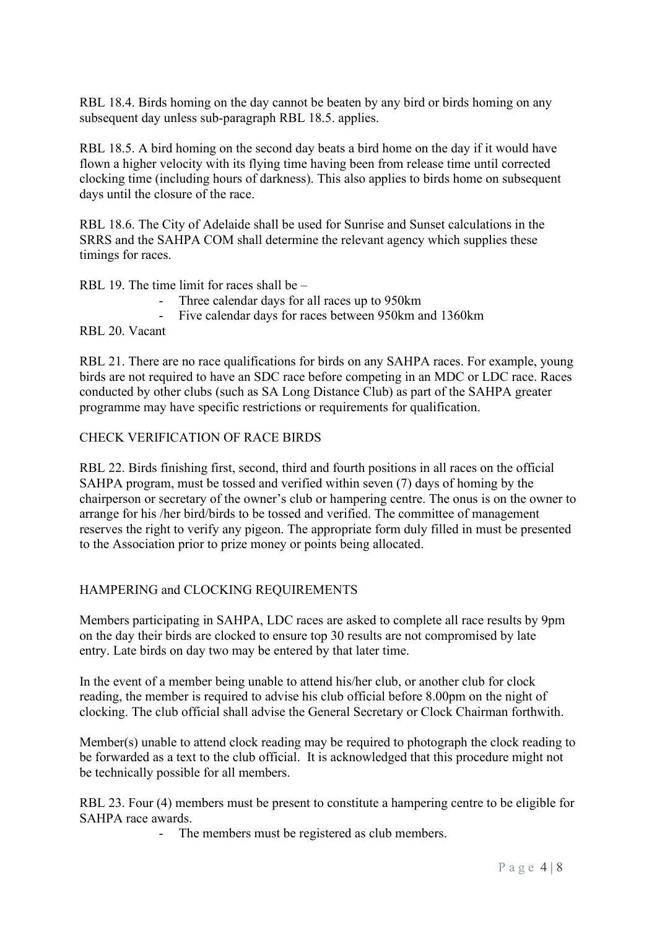RBL 18.4. Birds homing on the day cannot be beaten by any bird or birds homing on any subsequent day unless sub-paragraph RBL 18.5. applies.

RBL 18.5. A bird homing on the second day beats a bird home on the day if it would have flown a higher velocity with its flying time having been from release time until corrected clocking time (including hours of darkness). This also applies to birds home on subsequent days until the closure of the race.

RBL 18.6. The City of Adelaide shall be used for Sunrise and Sunset calculations in the SRRS and the SAHPA COM shall determine the relevant agency which supplies these timings for races.

RBL 19. The time limit for races shall be –

- Three calendar days for all races up to 950km
	- Five calendar days for races between 950km and 1360km

RBL 20. Vacant

RBL 21. There are no race qualifications for birds on any SAHPA races. For example, young birds are not required to have an SDC race before competing in an MDC or LDC race. Races conducted by other clubs (such as SA Long Distance Club) as part of the SAHPA greater programme may have specific restrictions or requirements for qualification.

#### CHECK VERIFICATION OF RACE BIRDS

RBL 22. Birds finishing first, second, third and fourth positions in all races on the official SAHPA program, must be tossed and verified within seven (7) days of homing by the chairperson or secretary of the owner's club or hampering centre. The onus is on the owner to arrange for his /her bird/birds to be tossed and verified. The committee of management reserves the right to verify any pigeon. The appropriate form duly filled in must be presented to the Association prior to prize money or points being allocated.

# HAMPERING and CLOCKING REQUIREMENTS

Members participating in SAHPA, LDC races are asked to complete all race results by 9pm on the day their birds are clocked to ensure top 30 results are not compromised by late entry. Late birds on day two may be entered by that later time.

In the event of a member being unable to attend his/her club, or another club for clock reading, the member is required to advise his club official before 8.00pm on the night of clocking. The club official shall advise the General Secretary or Clock Chairman forthwith.

Member(s) unable to attend clock reading may be required to photograph the clock reading to be forwarded as a text to the club official. It is acknowledged that this procedure might not be technically possible for all members.

RBL 23. Four (4) members must be present to constitute a hampering centre to be eligible for SAHPA race awards.

The members must be registered as club members.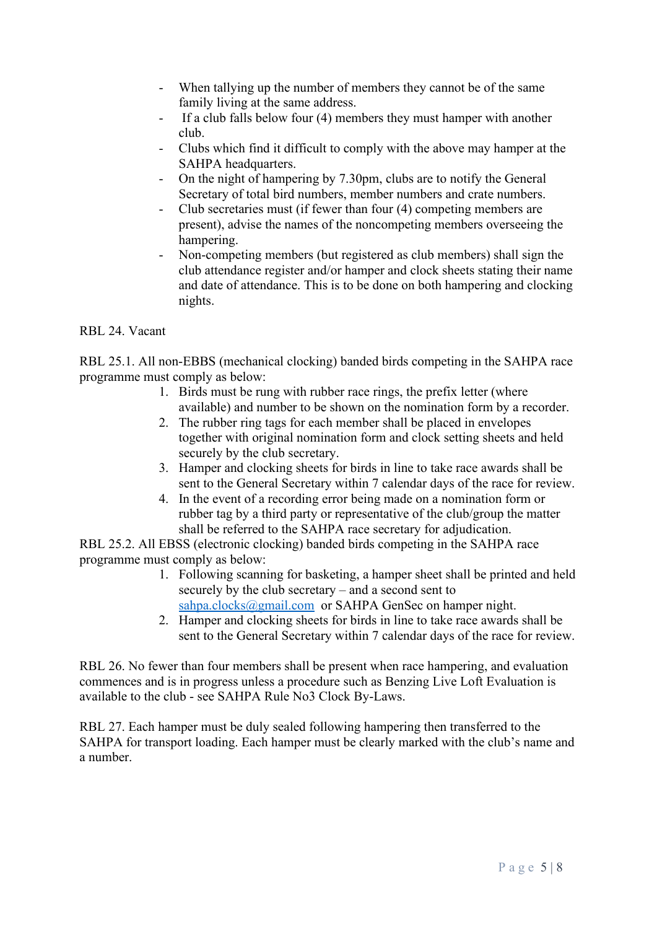- When tallying up the number of members they cannot be of the same family living at the same address.
- If a club falls below four (4) members they must hamper with another club.
- Clubs which find it difficult to comply with the above may hamper at the SAHPA headquarters.
- On the night of hampering by 7.30pm, clubs are to notify the General Secretary of total bird numbers, member numbers and crate numbers.
- Club secretaries must (if fewer than four (4) competing members are present), advise the names of the noncompeting members overseeing the hampering.
- Non-competing members (but registered as club members) shall sign the club attendance register and/or hamper and clock sheets stating their name and date of attendance. This is to be done on both hampering and clocking nights.

RBL 24. Vacant

RBL 25.1. All non-EBBS (mechanical clocking) banded birds competing in the SAHPA race programme must comply as below:

- 1. Birds must be rung with rubber race rings, the prefix letter (where available) and number to be shown on the nomination form by a recorder.
- 2. The rubber ring tags for each member shall be placed in envelopes together with original nomination form and clock setting sheets and held securely by the club secretary.
- 3. Hamper and clocking sheets for birds in line to take race awards shall be sent to the General Secretary within 7 calendar days of the race for review.
- 4. In the event of a recording error being made on a nomination form or rubber tag by a third party or representative of the club/group the matter shall be referred to the SAHPA race secretary for adjudication.

RBL 25.2. All EBSS (electronic clocking) banded birds competing in the SAHPA race programme must comply as below:

- 1. Following scanning for basketing, a hamper sheet shall be printed and held securely by the club secretary – and a second sent to [sahpa.clocks@gmail.com](mailto:sahpa.clocks@gmail.com) or SAHPA GenSec on hamper night.
- 2. Hamper and clocking sheets for birds in line to take race awards shall be sent to the General Secretary within 7 calendar days of the race for review.

RBL 26. No fewer than four members shall be present when race hampering, and evaluation commences and is in progress unless a procedure such as Benzing Live Loft Evaluation is available to the club - see SAHPA Rule No3 Clock By-Laws.

RBL 27. Each hamper must be duly sealed following hampering then transferred to the SAHPA for transport loading. Each hamper must be clearly marked with the club's name and a number.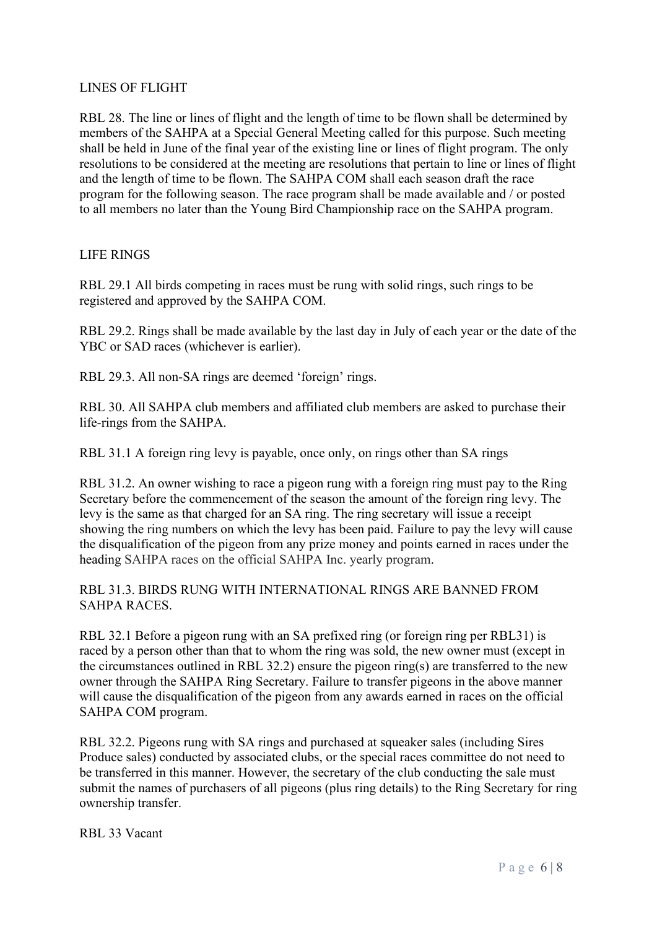# LINES OF FLIGHT

RBL 28. The line or lines of flight and the length of time to be flown shall be determined by members of the SAHPA at a Special General Meeting called for this purpose. Such meeting shall be held in June of the final year of the existing line or lines of flight program. The only resolutions to be considered at the meeting are resolutions that pertain to line or lines of flight and the length of time to be flown. The SAHPA COM shall each season draft the race program for the following season. The race program shall be made available and / or posted to all members no later than the Young Bird Championship race on the SAHPA program.

#### LIFE RINGS

RBL 29.1 All birds competing in races must be rung with solid rings, such rings to be registered and approved by the SAHPA COM.

RBL 29.2. Rings shall be made available by the last day in July of each year or the date of the YBC or SAD races (whichever is earlier).

RBL 29.3. All non-SA rings are deemed 'foreign' rings.

RBL 30. All SAHPA club members and affiliated club members are asked to purchase their life-rings from the SAHPA.

RBL 31.1 A foreign ring levy is payable, once only, on rings other than SA rings

RBL 31.2. An owner wishing to race a pigeon rung with a foreign ring must pay to the Ring Secretary before the commencement of the season the amount of the foreign ring levy. The levy is the same as that charged for an SA ring. The ring secretary will issue a receipt showing the ring numbers on which the levy has been paid. Failure to pay the levy will cause the disqualification of the pigeon from any prize money and points earned in races under the heading SAHPA races on the official SAHPA Inc. yearly program.

#### RBL 31.3. BIRDS RUNG WITH INTERNATIONAL RINGS ARE BANNED FROM SAHPA RACES.

RBL 32.1 Before a pigeon rung with an SA prefixed ring (or foreign ring per RBL31) is raced by a person other than that to whom the ring was sold, the new owner must (except in the circumstances outlined in RBL 32.2) ensure the pigeon ring(s) are transferred to the new owner through the SAHPA Ring Secretary. Failure to transfer pigeons in the above manner will cause the disqualification of the pigeon from any awards earned in races on the official SAHPA COM program.

RBL 32.2. Pigeons rung with SA rings and purchased at squeaker sales (including Sires Produce sales) conducted by associated clubs, or the special races committee do not need to be transferred in this manner. However, the secretary of the club conducting the sale must submit the names of purchasers of all pigeons (plus ring details) to the Ring Secretary for ring ownership transfer.

RBL 33 Vacant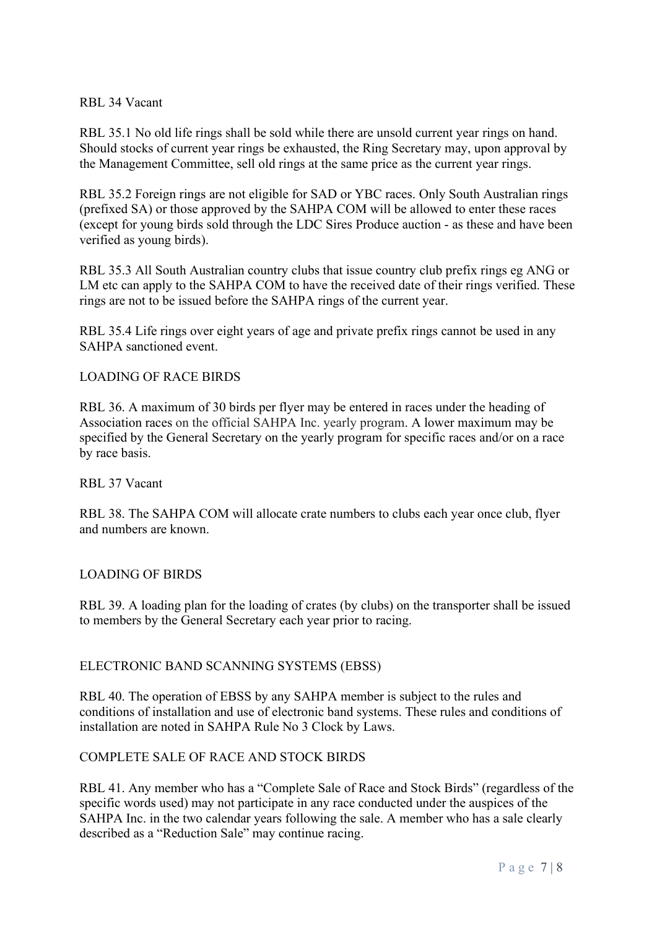#### RBL 34 Vacant

RBL 35.1 No old life rings shall be sold while there are unsold current year rings on hand. Should stocks of current year rings be exhausted, the Ring Secretary may, upon approval by the Management Committee, sell old rings at the same price as the current year rings.

RBL 35.2 Foreign rings are not eligible for SAD or YBC races. Only South Australian rings (prefixed SA) or those approved by the SAHPA COM will be allowed to enter these races (except for young birds sold through the LDC Sires Produce auction - as these and have been verified as young birds).

RBL 35.3 All South Australian country clubs that issue country club prefix rings eg ANG or LM etc can apply to the SAHPA COM to have the received date of their rings verified. These rings are not to be issued before the SAHPA rings of the current year.

RBL 35.4 Life rings over eight years of age and private prefix rings cannot be used in any SAHPA sanctioned event.

#### LOADING OF RACE BIRDS

RBL 36. A maximum of 30 birds per flyer may be entered in races under the heading of Association races on the official SAHPA Inc. yearly program. A lower maximum may be specified by the General Secretary on the yearly program for specific races and/or on a race by race basis.

#### RBL 37 Vacant

RBL 38. The SAHPA COM will allocate crate numbers to clubs each year once club, flyer and numbers are known.

#### LOADING OF BIRDS

RBL 39. A loading plan for the loading of crates (by clubs) on the transporter shall be issued to members by the General Secretary each year prior to racing.

# ELECTRONIC BAND SCANNING SYSTEMS (EBSS)

RBL 40. The operation of EBSS by any SAHPA member is subject to the rules and conditions of installation and use of electronic band systems. These rules and conditions of installation are noted in SAHPA Rule No 3 Clock by Laws.

# COMPLETE SALE OF RACE AND STOCK BIRDS

RBL 41. Any member who has a "Complete Sale of Race and Stock Birds" (regardless of the specific words used) may not participate in any race conducted under the auspices of the SAHPA Inc. in the two calendar years following the sale. A member who has a sale clearly described as a "Reduction Sale" may continue racing.